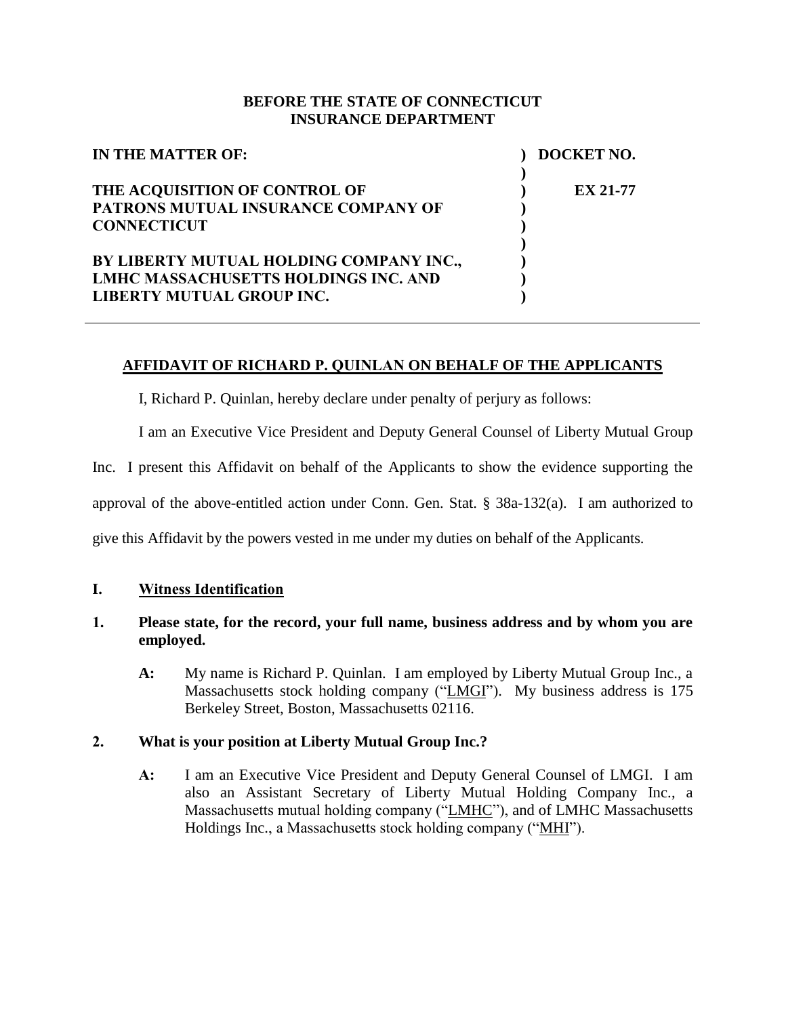### **BEFORE THE STATE OF CONNECTICUT INSURANCE DEPARTMENT**

| IN THE MATTER OF:                           | DOCKET NO.      |
|---------------------------------------------|-----------------|
| THE ACQUISITION OF CONTROL OF               | <b>EX 21-77</b> |
| PATRONS MUTUAL INSURANCE COMPANY OF         |                 |
| <b>CONNECTICUT</b>                          |                 |
|                                             |                 |
| BY LIBERTY MUTUAL HOLDING COMPANY INC.,     |                 |
| <b>LMHC MASSACHUSETTS HOLDINGS INC. AND</b> |                 |
| LIBERTY MUTUAL GROUP INC.                   |                 |

### **AFFIDAVIT OF RICHARD P. QUINLAN ON BEHALF OF THE APPLICANTS**

I, Richard P. Quinlan, hereby declare under penalty of perjury as follows:

I am an Executive Vice President and Deputy General Counsel of Liberty Mutual Group

Inc. I present this Affidavit on behalf of the Applicants to show the evidence supporting the

approval of the above-entitled action under Conn. Gen. Stat. § 38a-132(a). I am authorized to

give this Affidavit by the powers vested in me under my duties on behalf of the Applicants.

#### **I. Witness Identification**

### **1. Please state, for the record, your full name, business address and by whom you are employed.**

**A:** My name is Richard P. Quinlan. I am employed by Liberty Mutual Group Inc., a Massachusetts stock holding company ("LMGI"). My business address is 175 Berkeley Street, Boston, Massachusetts 02116.

### **2. What is your position at Liberty Mutual Group Inc.?**

**A:** I am an Executive Vice President and Deputy General Counsel of LMGI. I am also an Assistant Secretary of Liberty Mutual Holding Company Inc., a Massachusetts mutual holding company ("LMHC"), and of LMHC Massachusetts Holdings Inc., a Massachusetts stock holding company ("MHI").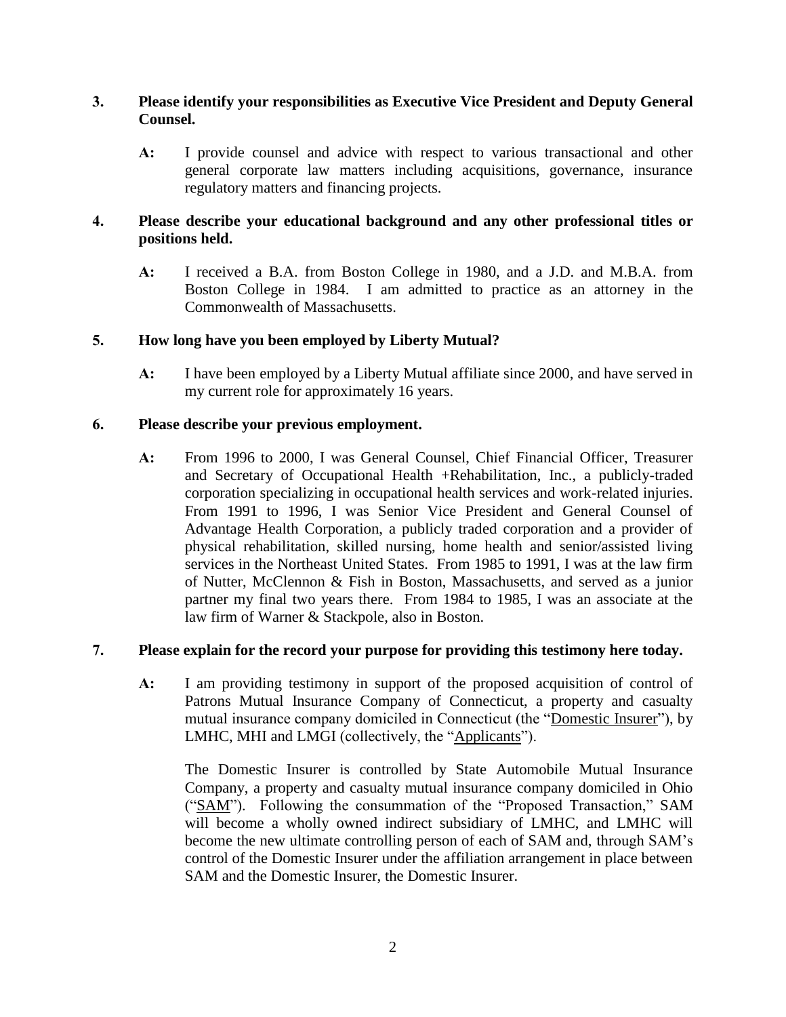### **3. Please identify your responsibilities as Executive Vice President and Deputy General Counsel.**

**A:** I provide counsel and advice with respect to various transactional and other general corporate law matters including acquisitions, governance, insurance regulatory matters and financing projects.

## **4. Please describe your educational background and any other professional titles or positions held.**

**A:** I received a B.A. from Boston College in 1980, and a J.D. and M.B.A. from Boston College in 1984. I am admitted to practice as an attorney in the Commonwealth of Massachusetts.

### **5. How long have you been employed by Liberty Mutual?**

**A:** I have been employed by a Liberty Mutual affiliate since 2000, and have served in my current role for approximately 16 years.

### **6. Please describe your previous employment.**

**A:** From 1996 to 2000, I was General Counsel, Chief Financial Officer, Treasurer and Secretary of Occupational Health +Rehabilitation, Inc., a publicly-traded corporation specializing in occupational health services and work-related injuries. From 1991 to 1996, I was Senior Vice President and General Counsel of Advantage Health Corporation, a publicly traded corporation and a provider of physical rehabilitation, skilled nursing, home health and senior/assisted living services in the Northeast United States. From 1985 to 1991, I was at the law firm of Nutter, McClennon & Fish in Boston, Massachusetts, and served as a junior partner my final two years there. From 1984 to 1985, I was an associate at the law firm of Warner & Stackpole, also in Boston.

### **7. Please explain for the record your purpose for providing this testimony here today.**

**A:** I am providing testimony in support of the proposed acquisition of control of Patrons Mutual Insurance Company of Connecticut, a property and casualty mutual insurance company domiciled in Connecticut (the "Domestic Insurer"), by LMHC, MHI and LMGI (collectively, the "Applicants").

The Domestic Insurer is controlled by State Automobile Mutual Insurance Company, a property and casualty mutual insurance company domiciled in Ohio ("SAM"). Following the consummation of the "Proposed Transaction," SAM will become a wholly owned indirect subsidiary of LMHC, and LMHC will become the new ultimate controlling person of each of SAM and, through SAM's control of the Domestic Insurer under the affiliation arrangement in place between SAM and the Domestic Insurer, the Domestic Insurer.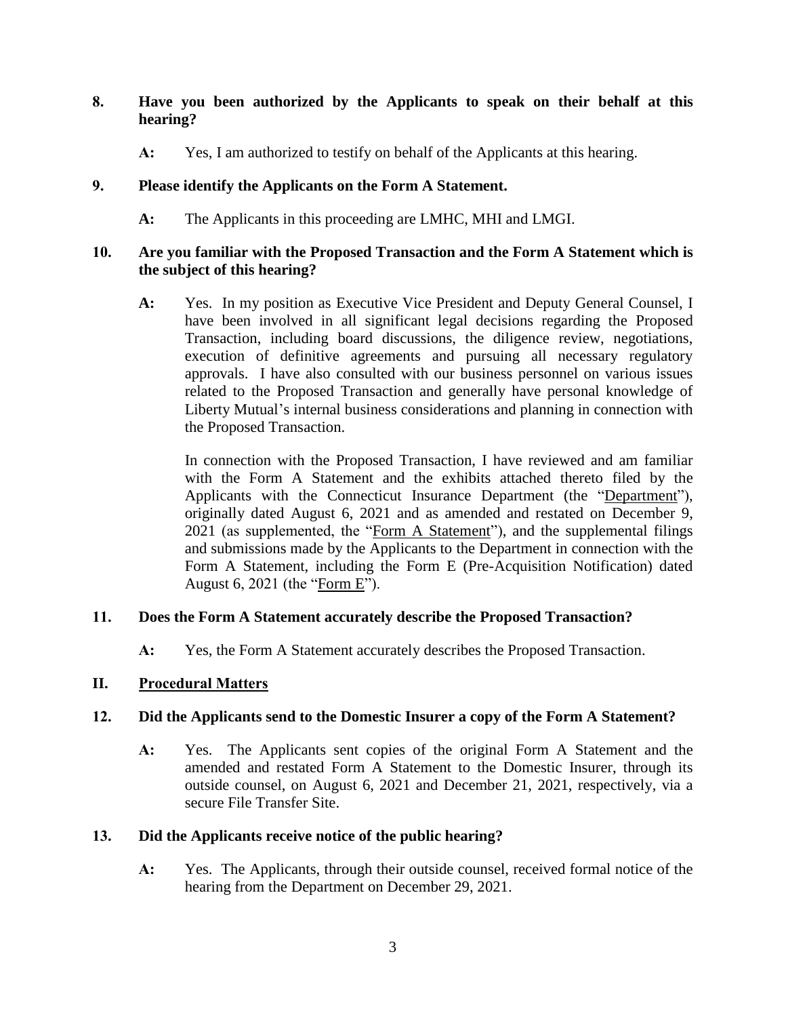## **8. Have you been authorized by the Applicants to speak on their behalf at this hearing?**

**A:** Yes, I am authorized to testify on behalf of the Applicants at this hearing.

## **9. Please identify the Applicants on the Form A Statement.**

**A:** The Applicants in this proceeding are LMHC, MHI and LMGI.

### **10. Are you familiar with the Proposed Transaction and the Form A Statement which is the subject of this hearing?**

**A:** Yes. In my position as Executive Vice President and Deputy General Counsel, I have been involved in all significant legal decisions regarding the Proposed Transaction, including board discussions, the diligence review, negotiations, execution of definitive agreements and pursuing all necessary regulatory approvals. I have also consulted with our business personnel on various issues related to the Proposed Transaction and generally have personal knowledge of Liberty Mutual's internal business considerations and planning in connection with the Proposed Transaction.

In connection with the Proposed Transaction, I have reviewed and am familiar with the Form A Statement and the exhibits attached thereto filed by the Applicants with the Connecticut Insurance Department (the "Department"), originally dated August 6, 2021 and as amended and restated on December 9, 2021 (as supplemented, the "Form A Statement"), and the supplemental filings and submissions made by the Applicants to the Department in connection with the Form A Statement, including the Form E (Pre-Acquisition Notification) dated August 6, 2021 (the "Form E").

# **11. Does the Form A Statement accurately describe the Proposed Transaction?**

**A:** Yes, the Form A Statement accurately describes the Proposed Transaction.

# **II. Procedural Matters**

# **12. Did the Applicants send to the Domestic Insurer a copy of the Form A Statement?**

**A:** Yes. The Applicants sent copies of the original Form A Statement and the amended and restated Form A Statement to the Domestic Insurer, through its outside counsel, on August 6, 2021 and December 21, 2021, respectively, via a secure File Transfer Site.

### **13. Did the Applicants receive notice of the public hearing?**

**A:** Yes. The Applicants, through their outside counsel, received formal notice of the hearing from the Department on December 29, 2021.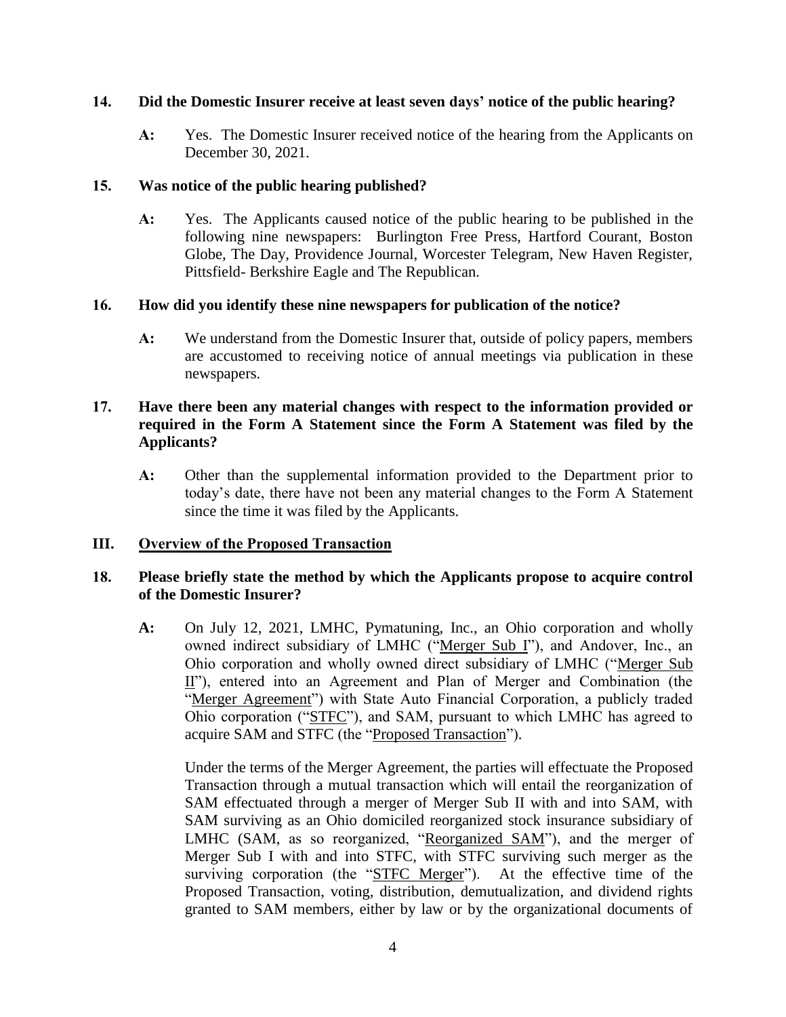### **14. Did the Domestic Insurer receive at least seven days' notice of the public hearing?**

**A:** Yes. The Domestic Insurer received notice of the hearing from the Applicants on December 30, 2021.

### **15. Was notice of the public hearing published?**

**A:** Yes. The Applicants caused notice of the public hearing to be published in the following nine newspapers: Burlington Free Press, Hartford Courant, Boston Globe, The Day, Providence Journal, Worcester Telegram, New Haven Register, Pittsfield- Berkshire Eagle and The Republican.

## **16. How did you identify these nine newspapers for publication of the notice?**

**A:** We understand from the Domestic Insurer that, outside of policy papers, members are accustomed to receiving notice of annual meetings via publication in these newspapers.

## **17. Have there been any material changes with respect to the information provided or required in the Form A Statement since the Form A Statement was filed by the Applicants?**

**A:** Other than the supplemental information provided to the Department prior to today's date, there have not been any material changes to the Form A Statement since the time it was filed by the Applicants.

# **III. Overview of the Proposed Transaction**

## **18. Please briefly state the method by which the Applicants propose to acquire control of the Domestic Insurer?**

**A:** On July 12, 2021, LMHC, Pymatuning, Inc., an Ohio corporation and wholly owned indirect subsidiary of LMHC ("Merger Sub I"), and Andover, Inc., an Ohio corporation and wholly owned direct subsidiary of LMHC ("Merger Sub II"), entered into an Agreement and Plan of Merger and Combination (the "Merger Agreement") with State Auto Financial Corporation, a publicly traded Ohio corporation ("STFC"), and SAM, pursuant to which LMHC has agreed to acquire SAM and STFC (the "Proposed Transaction").

Under the terms of the Merger Agreement, the parties will effectuate the Proposed Transaction through a mutual transaction which will entail the reorganization of SAM effectuated through a merger of Merger Sub II with and into SAM, with SAM surviving as an Ohio domiciled reorganized stock insurance subsidiary of LMHC (SAM, as so reorganized, "Reorganized SAM"), and the merger of Merger Sub I with and into STFC, with STFC surviving such merger as the surviving corporation (the "STFC Merger"). At the effective time of the Proposed Transaction, voting, distribution, demutualization, and dividend rights granted to SAM members, either by law or by the organizational documents of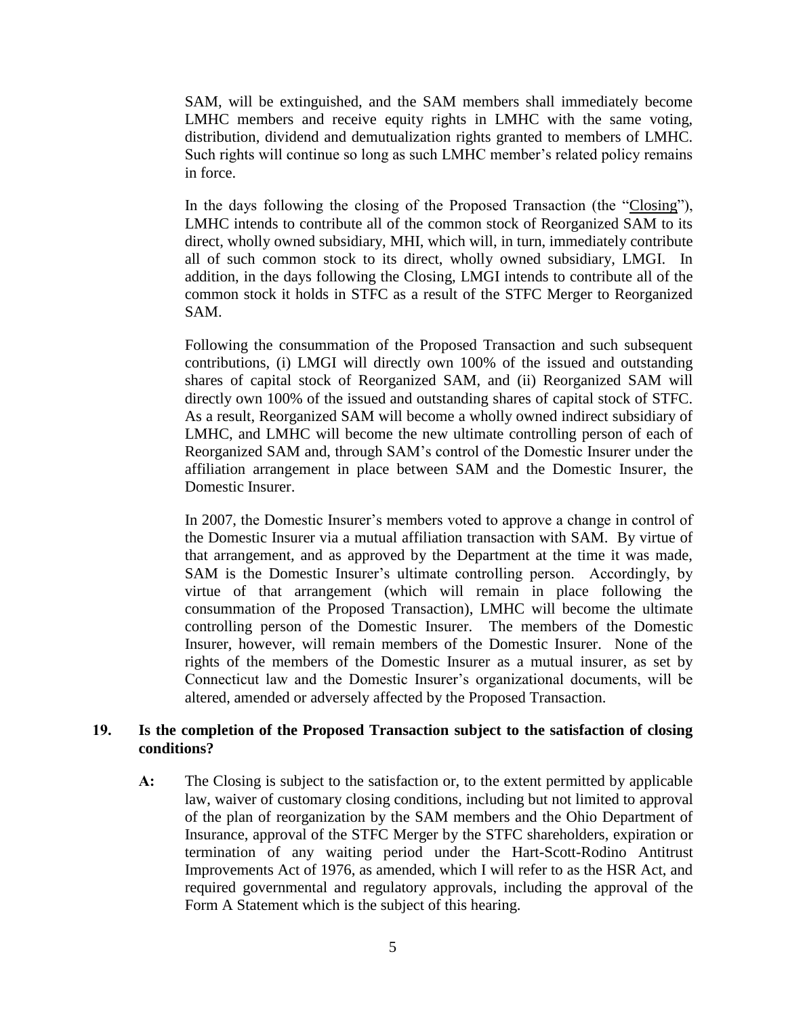SAM, will be extinguished, and the SAM members shall immediately become LMHC members and receive equity rights in LMHC with the same voting, distribution, dividend and demutualization rights granted to members of LMHC. Such rights will continue so long as such LMHC member's related policy remains in force.

In the days following the closing of the Proposed Transaction (the "Closing"), LMHC intends to contribute all of the common stock of Reorganized SAM to its direct, wholly owned subsidiary, MHI, which will, in turn, immediately contribute all of such common stock to its direct, wholly owned subsidiary, LMGI. In addition, in the days following the Closing, LMGI intends to contribute all of the common stock it holds in STFC as a result of the STFC Merger to Reorganized SAM.

Following the consummation of the Proposed Transaction and such subsequent contributions, (i) LMGI will directly own 100% of the issued and outstanding shares of capital stock of Reorganized SAM, and (ii) Reorganized SAM will directly own 100% of the issued and outstanding shares of capital stock of STFC. As a result, Reorganized SAM will become a wholly owned indirect subsidiary of LMHC, and LMHC will become the new ultimate controlling person of each of Reorganized SAM and, through SAM's control of the Domestic Insurer under the affiliation arrangement in place between SAM and the Domestic Insurer, the Domestic Insurer.

In 2007, the Domestic Insurer's members voted to approve a change in control of the Domestic Insurer via a mutual affiliation transaction with SAM. By virtue of that arrangement, and as approved by the Department at the time it was made, SAM is the Domestic Insurer's ultimate controlling person. Accordingly, by virtue of that arrangement (which will remain in place following the consummation of the Proposed Transaction), LMHC will become the ultimate controlling person of the Domestic Insurer. The members of the Domestic Insurer, however, will remain members of the Domestic Insurer. None of the rights of the members of the Domestic Insurer as a mutual insurer, as set by Connecticut law and the Domestic Insurer's organizational documents, will be altered, amended or adversely affected by the Proposed Transaction.

#### **19. Is the completion of the Proposed Transaction subject to the satisfaction of closing conditions?**

**A:** The Closing is subject to the satisfaction or, to the extent permitted by applicable law, waiver of customary closing conditions, including but not limited to approval of the plan of reorganization by the SAM members and the Ohio Department of Insurance, approval of the STFC Merger by the STFC shareholders, expiration or termination of any waiting period under the Hart-Scott-Rodino Antitrust Improvements Act of 1976, as amended, which I will refer to as the HSR Act, and required governmental and regulatory approvals, including the approval of the Form A Statement which is the subject of this hearing.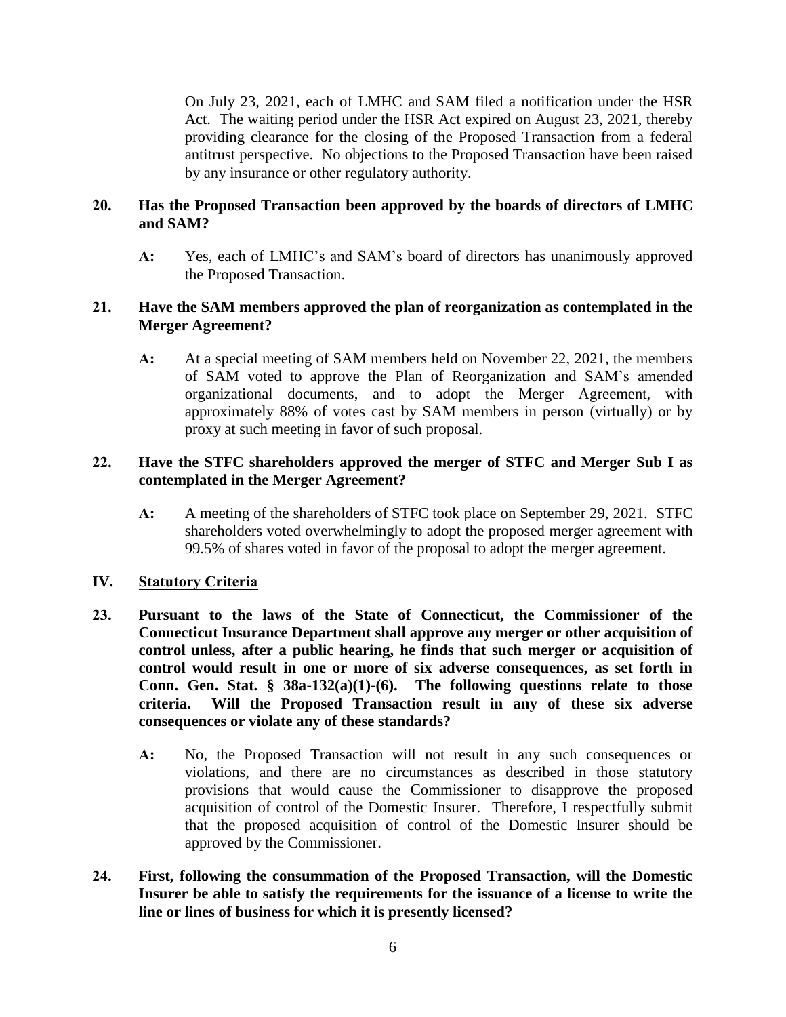On July 23, 2021, each of LMHC and SAM filed a notification under the HSR Act. The waiting period under the HSR Act expired on August 23, 2021, thereby providing clearance for the closing of the Proposed Transaction from a federal antitrust perspective. No objections to the Proposed Transaction have been raised by any insurance or other regulatory authority.

### **20. Has the Proposed Transaction been approved by the boards of directors of LMHC and SAM?**

**A:** Yes, each of LMHC's and SAM's board of directors has unanimously approved the Proposed Transaction.

### **21. Have the SAM members approved the plan of reorganization as contemplated in the Merger Agreement?**

**A:** At a special meeting of SAM members held on November 22, 2021, the members of SAM voted to approve the Plan of Reorganization and SAM's amended organizational documents, and to adopt the Merger Agreement, with approximately 88% of votes cast by SAM members in person (virtually) or by proxy at such meeting in favor of such proposal.

## **22. Have the STFC shareholders approved the merger of STFC and Merger Sub I as contemplated in the Merger Agreement?**

**A:** A meeting of the shareholders of STFC took place on September 29, 2021. STFC shareholders voted overwhelmingly to adopt the proposed merger agreement with 99.5% of shares voted in favor of the proposal to adopt the merger agreement.

### **IV. Statutory Criteria**

- **23. Pursuant to the laws of the State of Connecticut, the Commissioner of the Connecticut Insurance Department shall approve any merger or other acquisition of control unless, after a public hearing, he finds that such merger or acquisition of control would result in one or more of six adverse consequences, as set forth in Conn. Gen. Stat. § 38a-132(a)(1)-(6). The following questions relate to those criteria. Will the Proposed Transaction result in any of these six adverse consequences or violate any of these standards?**
	- **A:** No, the Proposed Transaction will not result in any such consequences or violations, and there are no circumstances as described in those statutory provisions that would cause the Commissioner to disapprove the proposed acquisition of control of the Domestic Insurer. Therefore, I respectfully submit that the proposed acquisition of control of the Domestic Insurer should be approved by the Commissioner.
- **24. First, following the consummation of the Proposed Transaction, will the Domestic Insurer be able to satisfy the requirements for the issuance of a license to write the line or lines of business for which it is presently licensed?**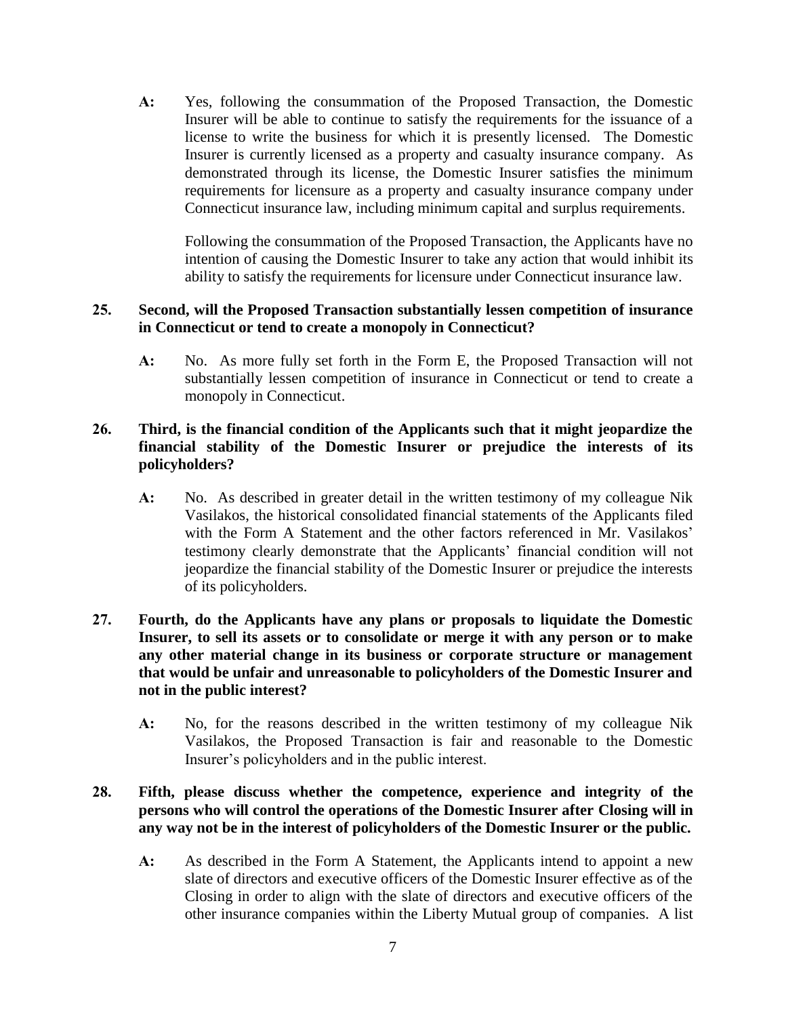**A:** Yes, following the consummation of the Proposed Transaction, the Domestic Insurer will be able to continue to satisfy the requirements for the issuance of a license to write the business for which it is presently licensed. The Domestic Insurer is currently licensed as a property and casualty insurance company. As demonstrated through its license, the Domestic Insurer satisfies the minimum requirements for licensure as a property and casualty insurance company under Connecticut insurance law, including minimum capital and surplus requirements.

Following the consummation of the Proposed Transaction, the Applicants have no intention of causing the Domestic Insurer to take any action that would inhibit its ability to satisfy the requirements for licensure under Connecticut insurance law.

#### **25. Second, will the Proposed Transaction substantially lessen competition of insurance in Connecticut or tend to create a monopoly in Connecticut?**

**A:** No. As more fully set forth in the Form E, the Proposed Transaction will not substantially lessen competition of insurance in Connecticut or tend to create a monopoly in Connecticut.

## **26. Third, is the financial condition of the Applicants such that it might jeopardize the financial stability of the Domestic Insurer or prejudice the interests of its policyholders?**

**A:** No. As described in greater detail in the written testimony of my colleague Nik Vasilakos, the historical consolidated financial statements of the Applicants filed with the Form A Statement and the other factors referenced in Mr. Vasilakos' testimony clearly demonstrate that the Applicants' financial condition will not jeopardize the financial stability of the Domestic Insurer or prejudice the interests of its policyholders.

### **27. Fourth, do the Applicants have any plans or proposals to liquidate the Domestic Insurer, to sell its assets or to consolidate or merge it with any person or to make any other material change in its business or corporate structure or management that would be unfair and unreasonable to policyholders of the Domestic Insurer and not in the public interest?**

**A:** No, for the reasons described in the written testimony of my colleague Nik Vasilakos, the Proposed Transaction is fair and reasonable to the Domestic Insurer's policyholders and in the public interest.

## **28. Fifth, please discuss whether the competence, experience and integrity of the persons who will control the operations of the Domestic Insurer after Closing will in any way not be in the interest of policyholders of the Domestic Insurer or the public.**

**A:** As described in the Form A Statement, the Applicants intend to appoint a new slate of directors and executive officers of the Domestic Insurer effective as of the Closing in order to align with the slate of directors and executive officers of the other insurance companies within the Liberty Mutual group of companies. A list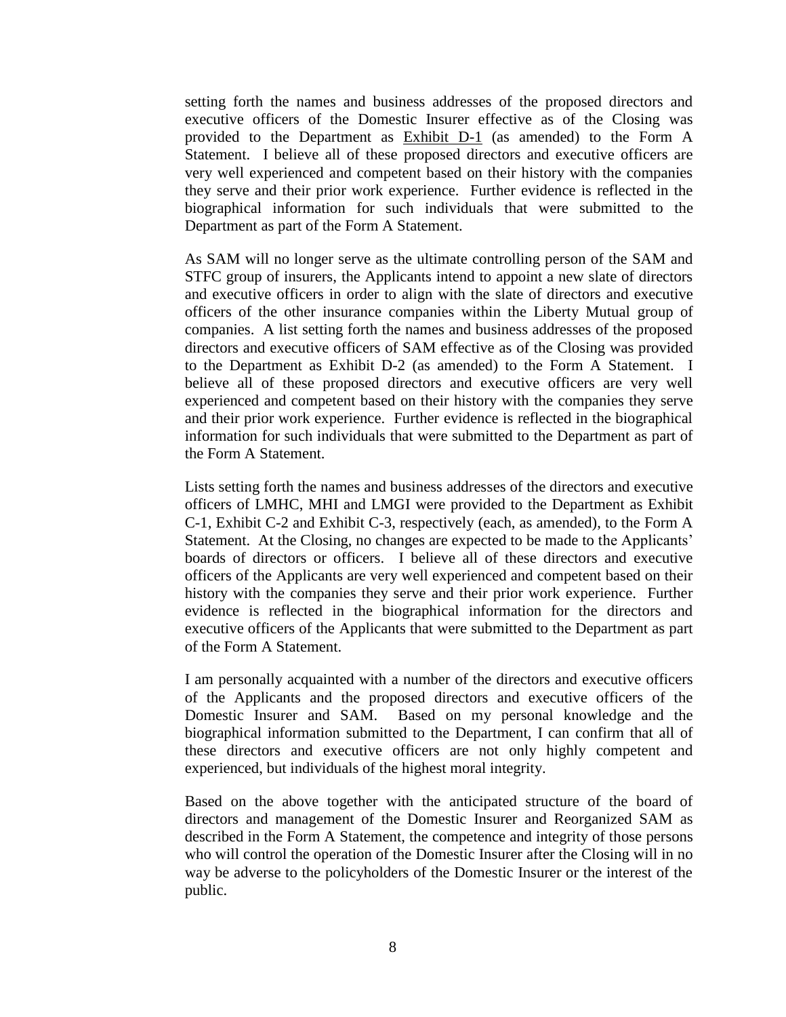setting forth the names and business addresses of the proposed directors and executive officers of the Domestic Insurer effective as of the Closing was provided to the Department as Exhibit D-1 (as amended) to the Form A Statement. I believe all of these proposed directors and executive officers are very well experienced and competent based on their history with the companies they serve and their prior work experience. Further evidence is reflected in the biographical information for such individuals that were submitted to the Department as part of the Form A Statement.

As SAM will no longer serve as the ultimate controlling person of the SAM and STFC group of insurers, the Applicants intend to appoint a new slate of directors and executive officers in order to align with the slate of directors and executive officers of the other insurance companies within the Liberty Mutual group of companies. A list setting forth the names and business addresses of the proposed directors and executive officers of SAM effective as of the Closing was provided to the Department as Exhibit D-2 (as amended) to the Form A Statement. I believe all of these proposed directors and executive officers are very well experienced and competent based on their history with the companies they serve and their prior work experience. Further evidence is reflected in the biographical information for such individuals that were submitted to the Department as part of the Form A Statement.

Lists setting forth the names and business addresses of the directors and executive officers of LMHC, MHI and LMGI were provided to the Department as Exhibit C-1, Exhibit C-2 and Exhibit C-3, respectively (each, as amended), to the Form A Statement. At the Closing, no changes are expected to be made to the Applicants' boards of directors or officers. I believe all of these directors and executive officers of the Applicants are very well experienced and competent based on their history with the companies they serve and their prior work experience. Further evidence is reflected in the biographical information for the directors and executive officers of the Applicants that were submitted to the Department as part of the Form A Statement.

I am personally acquainted with a number of the directors and executive officers of the Applicants and the proposed directors and executive officers of the Domestic Insurer and SAM. Based on my personal knowledge and the biographical information submitted to the Department, I can confirm that all of these directors and executive officers are not only highly competent and experienced, but individuals of the highest moral integrity.

Based on the above together with the anticipated structure of the board of directors and management of the Domestic Insurer and Reorganized SAM as described in the Form A Statement, the competence and integrity of those persons who will control the operation of the Domestic Insurer after the Closing will in no way be adverse to the policyholders of the Domestic Insurer or the interest of the public.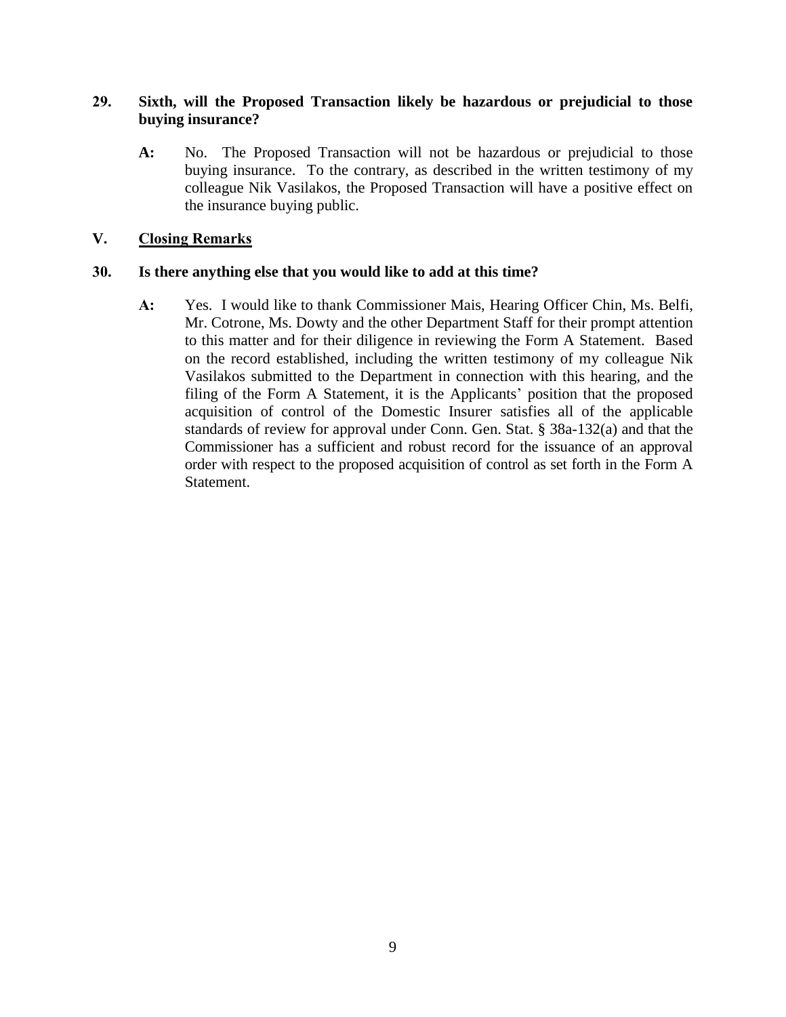### **29. Sixth, will the Proposed Transaction likely be hazardous or prejudicial to those buying insurance?**

**A:** No. The Proposed Transaction will not be hazardous or prejudicial to those buying insurance. To the contrary, as described in the written testimony of my colleague Nik Vasilakos, the Proposed Transaction will have a positive effect on the insurance buying public.

## **V. Closing Remarks**

### **30. Is there anything else that you would like to add at this time?**

**A:** Yes. I would like to thank Commissioner Mais, Hearing Officer Chin, Ms. Belfi, Mr. Cotrone, Ms. Dowty and the other Department Staff for their prompt attention to this matter and for their diligence in reviewing the Form A Statement. Based on the record established, including the written testimony of my colleague Nik Vasilakos submitted to the Department in connection with this hearing, and the filing of the Form A Statement, it is the Applicants' position that the proposed acquisition of control of the Domestic Insurer satisfies all of the applicable standards of review for approval under Conn. Gen. Stat. § 38a-132(a) and that the Commissioner has a sufficient and robust record for the issuance of an approval order with respect to the proposed acquisition of control as set forth in the Form A Statement.